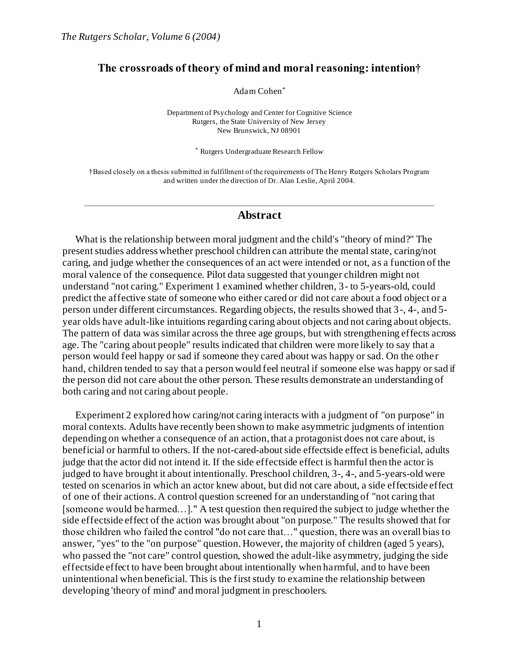# **The crossroads of theory of mind and moral reasoning: intention†**

Adam Cohen\*

Department of Psychology and Center for Cognitive Science Rutgers, the State University of New Jersey New Brunswick, NJ 08901

\* Rutgers Undergraduate Research Fellow

†Based closely on a thesis submitted in fulfillment of the requirements of The Henry Rutgers Scholars Program and written under the direction of Dr. Alan Leslie, April 2004.

## **Abstract**

What is the relationship between moral judgment and the child's "theory of mind?" The present studies address whether preschool children can attribute the mental state, caring/not caring, and judge whether the consequences of an act were intended or not, as a function of the moral valence of the consequence. Pilot data suggested that younger children might not understand "not caring." Experiment 1 examined whether children, 3- to 5-years-old, could predict the affective state of someone who either cared or did not care about a food object or a person under different circumstances. Regarding objects, the results showed that 3-, 4-, and 5 year olds have adult-like intuitions regarding caring about objects and not caring about objects. The pattern of data was similar across the three age groups, but with strengthening effects across age. The "caring about people" results indicated that children were more likely to say that a person would feel happy or sad if someone they cared about was happy or sad. On the othe r hand, children tended to say that a person would feel neutral if someone else was happy or sad if the person did not care about the other person. These results demonstrate an understanding of both caring and not caring about people.

Experiment 2 explored how caring/not caring interacts with a judgment of "on purpose" in moral contexts. Adults have recently been shown to make asymmetric judgments of intention depending on whether a consequence of an action, that a protagonist does not care about, is beneficial or harmful to others. If the not-cared-about side effectside effect is beneficial, adults judge that the actor did not intend it. If the side effectside effect is harmful then the actor is judged to have brought it about intentionally. Preschool children, 3-, 4-, and 5-years-old were tested on scenarios in which an actor knew about, but did not care about, a side effectside effect of one of their actions. A control question screened for an understanding of "not caring that [someone would be harmed…]." A test question then required the subject to judge whether the side effectside effect of the action was brought about "on purpose." The results showed that for those children who failed the control "do not care that…" question, there was an overall bias to answer, "yes" to the "on purpose" question. However, the majority of children (aged 5 years), who passed the "not care" control question, showed the adult-like asymmetry, judging the side effectside effect to have been brought about intentionally when harmful, and to have been unintentional when beneficial. This is the first study to examine the relationship between developing 'theory of mind' and moral judgment in preschoolers.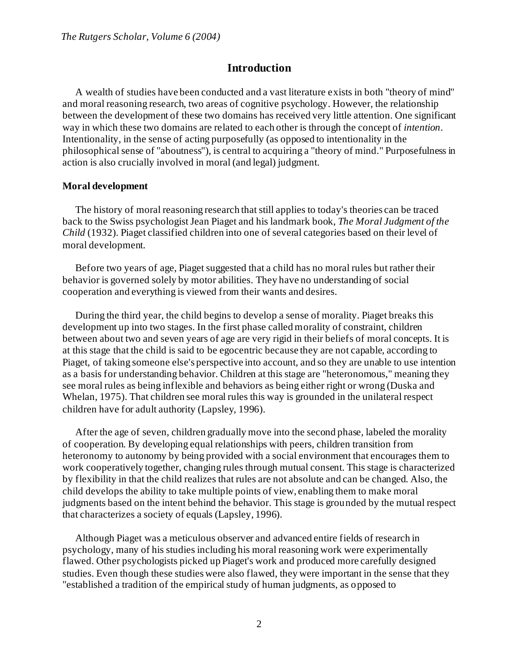# **Introduction**

A wealth of studies have been conducted and a vast literature exists in both "theory of mind" and moral reasoning research, two areas of cognitive psychology. However, the relationship between the development of these two domains has received very little attention. One significant way in which these two domains are related to each other is through the concept of *intention*. Intentionality, in the sense of acting purposefully (as opposed to intentionality in the philosophical sense of "aboutness"), is central to acquiring a "theory of mind." Purposefulness in action is also crucially involved in moral (and legal) judgment.

### **Moral development**

The history of moral reasoning research that still applies to today's theories can be traced back to the Swiss psychologist Jean Piaget and his landmark book, *The Moral Judgment of the Child* (1932). Piaget classified children into one of several categories based on their level of moral development.

Before two years of age, Piaget suggested that a child has no moral rules but rather their behavior is governed solely by motor abilities. They have no understanding of social cooperation and everything is viewed from their wants and desires.

During the third year, the child begins to develop a sense of morality. Piaget breaks this development up into two stages. In the first phase called morality of constraint, children between about two and seven years of age are very rigid in their beliefs of moral concepts. It is at this stage that the child is said to be egocentric because they are not capable, according to Piaget, of taking someone else's perspective into account, and so they are unable to use intention as a basis for understanding behavior. Children at this stage are "heteronomous," meaning they see moral rules as being inflexible and behaviors as being either right or wrong (Duska and Whelan, 1975). That children see moral rules this way is grounded in the unilateral respect children have for adult authority (Lapsley, 1996).

After the age of seven, children gradually move into the second phase, labeled the morality of cooperation. By developing equal relationships with peers, children transition from heteronomy to autonomy by being provided with a social environment that encourages them to work cooperatively together, changing rules through mutual consent. This stage is characterized by flexibility in that the child realizes that rules are not absolute and can be changed. Also, the child develops the ability to take multiple points of view, enabling them to make moral judgments based on the intent behind the behavior. This stage is grounded by the mutual respect that characterizes a society of equals (Lapsley, 1996).

Although Piaget was a meticulous observer and advanced entire fields of research in psychology, many of his studies including his moral reasoning work were experimentally flawed. Other psychologists picked up Piaget's work and produced more carefully designed studies. Even though these studies were also flawed, they were important in the sense that they "established a tradition of the empirical study of human judgments, as opposed to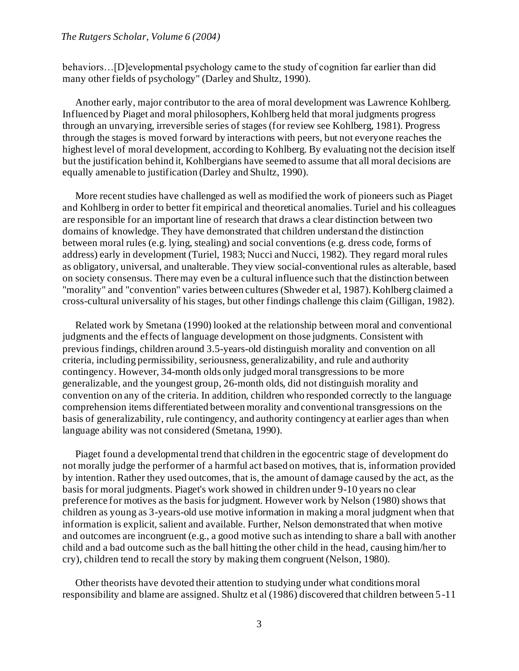behaviors…[D]evelopmental psychology came to the study of cognition far earlier than did many other fields of psychology" (Darley and Shultz, 1990).

Another early, major contributor to the area of moral development was Lawrence Kohlberg. Influenced by Piaget and moral philosophers, Kohlberg held that moral judgments progress through an unvarying, irreversible series of stages (for review see Kohlberg, 1981). Progress through the stages is moved forward by interactions with peers, but not everyone reaches the highest level of moral development, according to Kohlberg. By evaluating not the decision itself but the justification behind it, Kohlbergians have seemed to assume that all moral decisions are equally amenable to justification (Darley and Shultz, 1990).

More recent studies have challenged as well as modified the work of pioneers such as Piaget and Kohlberg in order to better fit empirical and theoretical anomalies. Turiel and his colleagues are responsible for an important line of research that draws a clear distinction between two domains of knowledge. They have demonstrated that children understand the distinction between moral rules (e.g. lying, stealing) and social conventions (e.g. dress code, forms of address) early in development (Turiel, 1983; Nucci and Nucci, 1982). They regard moral rules as obligatory, universal, and unalterable. They view social-conventional rules as alterable, based on society consensus. There may even be a cultural influence such that the distinction between "morality" and "convention" varies between cultures (Shweder et al, 1987). Kohlberg claimed a cross-cultural universality of his stages, but other findings challenge this claim (Gilligan, 1982).

Related work by Smetana (1990) looked at the relationship between moral and conventional judgments and the effects of language development on those judgments. Consistent with previous findings, children around 3.5-years-old distinguish morality and convention on all criteria, including permissibility, seriousness, generalizability, and rule and authority contingency. However, 34-month olds only judged moral transgressions to be more generalizable, and the youngest group, 26-month olds, did not distinguish morality and convention on any of the criteria. In addition, children who responded correctly to the language comprehension items differentiated between morality and conventional transgressions on the basis of generalizability, rule contingency, and authority contingency at earlier ages than when language ability was not considered (Smetana, 1990).

Piaget found a developmental trend that children in the egocentric stage of development do not morally judge the performer of a harmful act based on motives, that is, information provided by intention. Rather they used outcomes, that is, the amount of damage caused by the act, as the basis for moral judgments. Piaget's work showed in children under 9-10 years no clear preference for motives as the basis for judgment. However work by Nelson (1980) shows that children as young as 3-years-old use motive information in making a moral judgment when that information is explicit, salient and available. Further, Nelson demonstrated that when motive and outcomes are incongruent (e.g., a good motive such as intending to share a ball with another child and a bad outcome such as the ball hitting the other child in the head, causing him/her to cry), children tend to recall the story by making them congruent (Nelson, 1980).

Other theorists have devoted their attention to studying under what conditions moral responsibility and blame are assigned. Shultz et al (1986) discovered that children between 5 -11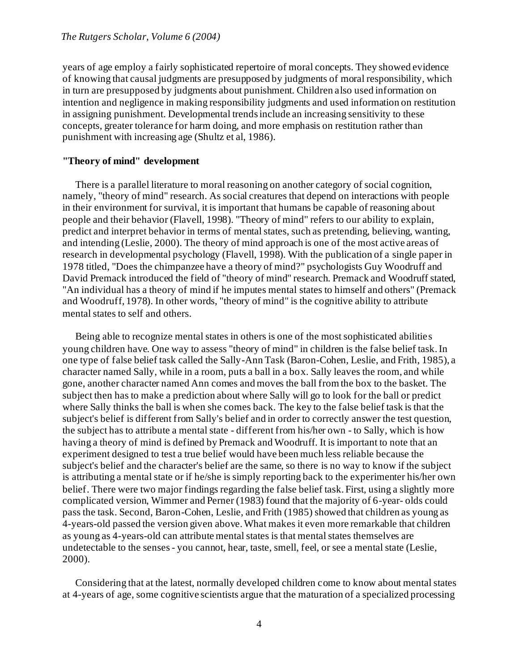years of age employ a fairly sophisticated repertoire of moral concepts. They showed evidence of knowing that causal judgments are presupposed by judgments of moral responsibility, which in turn are presupposed by judgments about punishment. Children also used information on intention and negligence in making responsibility judgments and used information on restitution in assigning punishment. Developmental trends include an increasing sensitivity to these concepts, greater tolerance for harm doing, and more emphasis on restitution rather than punishment with increasing age (Shultz et al, 1986).

# **"Theory of mind" development**

There is a parallel literature to moral reasoning on another category of social cognition, namely, "theory of mind" research. As social creatures that depend on interactions with people in their environment for survival, it is important that humans be capable of reasoning about people and their behavior (Flavell, 1998). "Theory of mind" refers to our ability to explain, predict and interpret behavior in terms of mental states, such as pretending, believing, wanting, and intending (Leslie, 2000). The theory of mind approach is one of the most active areas of research in developmental psychology (Flavell, 1998). With the publication of a single paper in 1978 titled, "Does the chimpanzee have a theory of mind?" psychologists Guy Woodruff and David Premack introduced the field of "theory of mind" research. Premack and Woodruff stated, "An individual has a theory of mind if he imputes mental states to himself and others" (Premack and Woodruff, 1978). In other words, "theory of mind" is the cognitive ability to attribute mental states to self and others.

Being able to recognize mental states in others is one of the most sophisticated abilities young children have. One way to assess "theory of mind" in children is the false belief task. In one type of false belief task called the Sally-Ann Task (Baron-Cohen, Leslie, and Frith, 1985), a character named Sally, while in a room, puts a ball in a box. Sally leaves the room, and while gone, another character named Ann comes and moves the ball from the box to the basket. The subject then has to make a prediction about where Sally will go to look for the ball or predict where Sally thinks the ball is when she comes back. The key to the false belief task is that the subject's belief is different from Sally's belief and in order to correctly answer the test question, the subject has to attribute a mental state - different from his/her own - to Sally, which is how having a theory of mind is defined by Premack and Woodruff. It is important to note that an experiment designed to test a true belief would have been much less reliable because the subject's belief and the character's belief are the same, so there is no way to know if the subject is attributing a mental state or if he/she is simply reporting back to the experimenter his/her own belief. There were two major findings regarding the false belief task. First, using a slightly more complicated version, Wimmer and Perner (1983) found that the majority of 6-year- olds could pass the task. Second, Baron-Cohen, Leslie, and Frith (1985) showed that children as young as 4-years-old passed the version given above. What makes it even more remarkable that children as young as 4-years-old can attribute mental states is that mental states themselves are undetectable to the senses - you cannot, hear, taste, smell, feel, or see a mental state (Leslie, 2000).

Considering that at the latest, normally developed children come to know about mental states at 4-years of age, some cognitive scientists argue that the maturation of a specialized processing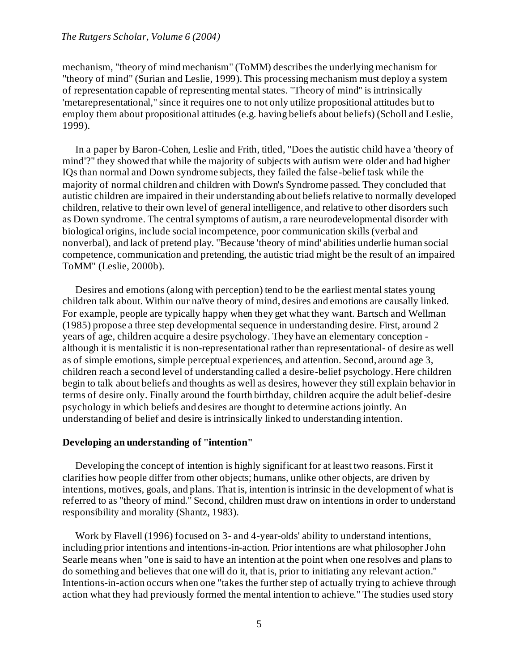mechanism, "theory of mind mechanism" (ToMM) describes the underlying mechanism for "theory of mind" (Surian and Leslie, 1999). This processing mechanism must deploy a system of representation capable of representing mental states. "Theory of mind" is intrinsically 'metarepresentational," since it requires one to not only utilize propositional attitudes but to employ them about propositional attitudes (e.g. having beliefs about beliefs) (Scholl and Leslie, 1999).

In a paper by Baron-Cohen, Leslie and Frith, titled, "Does the autistic child have a 'theory of mind'?" they showed that while the majority of subjects with autism were older and had higher IQs than normal and Down syndrome subjects, they failed the false-belief task while the majority of normal children and children with Down's Syndrome passed. They concluded that autistic children are impaired in their understanding about beliefs relative to normally developed children, relative to their own level of general intelligence, and relative to other disorders such as Down syndrome. The central symptoms of autism, a rare neurodevelopmental disorder with biological origins, include social incompetence, poor communication skills (verbal and nonverbal), and lack of pretend play. "Because 'theory of mind' abilities underlie human social competence, communication and pretending, the autistic triad might be the result of an impaired ToMM" (Leslie, 2000b).

Desires and emotions (along with perception) tend to be the earliest mental states young children talk about. Within our naïve theory of mind, desires and emotions are causally linked. For example, people are typically happy when they get what they want. Bartsch and Wellman (1985) propose a three step developmental sequence in understanding desire. First, around 2 years of age, children acquire a desire psychology. They have an elementary conception although it is mentalistic it is non-representational rather than representational- of desire as well as of simple emotions, simple perceptual experiences, and attention. Second, around age 3, children reach a second level of understanding called a desire-belief psychology. Here children begin to talk about beliefs and thoughts as well as desires, however they still explain behavior in terms of desire only. Finally around the fourth birthday, children acquire the adult belief-desire psychology in which beliefs and desires are thought to determine actions jointly. An understanding of belief and desire is intrinsically linked to understanding intention.

## **Developing an understanding of "intention"**

Developing the concept of intention is highly significant for at least two reasons. First it clarifies how people differ from other objects; humans, unlike other objects, are driven by intentions, motives, goals, and plans. That is, intention is intrinsic in the development of what is referred to as "theory of mind." Second, children must draw on intentions in order to understand responsibility and morality (Shantz, 1983).

Work by Flavell (1996) focused on 3- and 4-year-olds' ability to understand intentions, including prior intentions and intentions-in-action. Prior intentions are what philosopher John Searle means when "one is said to have an intention at the point when one resolves and plans to do something and believes that one will do it, that is, prior to initiating any relevant action." Intentions-in-action occurs when one "takes the further step of actually trying to achieve through action what they had previously formed the mental intention to achieve." The studies used story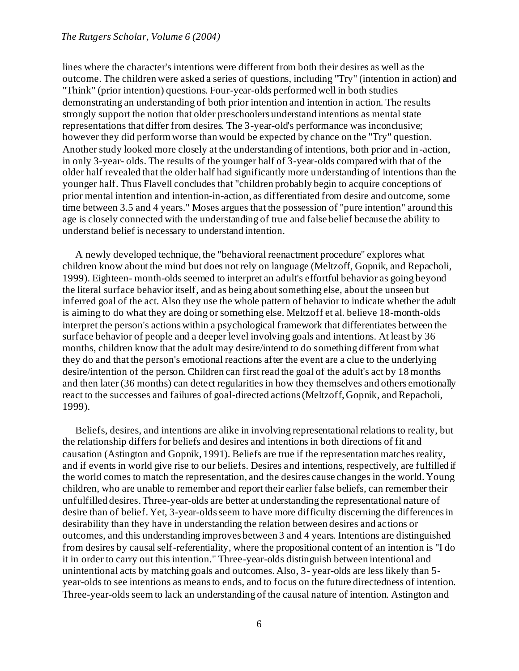lines where the character's intentions were different from both their desires as well as the outcome. The children were asked a series of questions, including "Try" (intention in action) and "Think" (prior intention) questions. Four-year-olds performed well in both studies demonstrating an understanding of both prior intention and intention in action. The results strongly support the notion that older preschoolers understand intentions as mental state representations that differ from desires. The 3-year-old's performance was inconclusive; however they did perform worse than would be expected by chance on the "Try" question. Another study looked more closely at the understanding of intentions, both prior and in-action, in only 3-year- olds. The results of the younger half of 3-year-olds compared with that of the older half revealed that the older half had significantly more understanding of intentions than the younger half. Thus Flavell concludes that "children probably begin to acquire conceptions of prior mental intention and intention-in-action, as differentiated from desire and outcome, some time between 3.5 and 4 years." Moses argues that the possession of "pure intention" around this age is closely connected with the understanding of true and false belief because the ability to understand belief is necessary to understand intention.

A newly developed technique, the "behavioral reenactment procedure" explores what children know about the mind but does not rely on language (Meltzoff, Gopnik, and Repacholi, 1999). Eighteen- month-olds seemed to interpret an adult's effortful behavior as going beyond the literal surface behavior itself, and as being about something else, about the unseen but inferred goal of the act. Also they use the whole pattern of behavior to indicate whether the adult is aiming to do what they are doing or something else. Meltzoff et al. believe 18-month-olds interpret the person's actions within a psychological framework that differentiates between the surface behavior of people and a deeper level involving goals and intentions. At least by 36 months, children know that the adult may desire/intend to do something different from what they do and that the person's emotional reactions after the event are a clue to the underlying desire/intention of the person. Children can first read the goal of the adult's act by 18 months and then later (36 months) can detect regularities in how they themselves and others emotionally react to the successes and failures of goal-directed actions (Meltzoff, Gopnik, and Repacholi, 1999).

Beliefs, desires, and intentions are alike in involving representational relations to reality, but the relationship differs for beliefs and desires and intentions in both directions of fit and causation (Astington and Gopnik, 1991). Beliefs are true if the representation matches reality, and if events in world give rise to our beliefs. Desires and intentions, respectively, are fulfilled if the world comes to match the representation, and the desires cause changes in the world. Young children, who are unable to remember and report their earlier false beliefs, can remember their unfulfilled desires. Three-year-olds are better at understanding the representational nature of desire than of belief. Yet, 3-year-olds seem to have more difficulty discerning the differences in desirability than they have in understanding the relation between desires and actions or outcomes, and this understanding improves between 3 and 4 years. Intentions are distinguished from desires by causal self-referentiality, where the propositional content of an intention is "I do it in order to carry out this intention." Three-year-olds distinguish between intentional and unintentional acts by matching goals and outcomes. Also, 3- year-olds are less likely than 5 year-olds to see intentions as means to ends, and to focus on the future directedness of intention. Three-year-olds seem to lack an understanding of the causal nature of intention. Astington and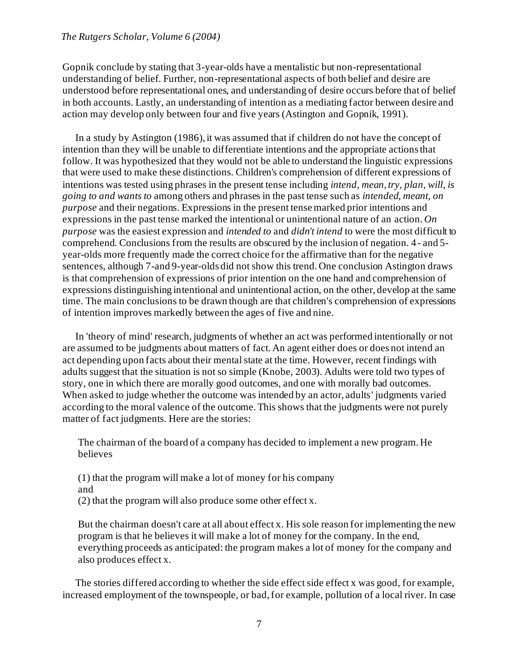Gopnik conclude by stating that 3-year-olds have a mentalistic but non-representational understanding of belief. Further, non-representational aspects of both belief and desire are understood before representational ones, and understanding of desire occurs before that of belief in both accounts. Lastly, an understanding of intention as a mediating factor between desire and action may develop only between four and five years (Astington and Gopnik, 1991).

In a study by Astington (1986), it was assumed that if children do not have the concept of intention than they will be unable to differentiate intentions and the appropriate actions that follow. It was hypothesized that they would not be able to understand the linguistic expressions that were used to make these distinctions. Children's comprehension of different expressions of intentions was tested using phrases in the present tense including *intend, mean, try, plan, will, is going to and wants to* among others and phrases in the past tense such as *intended, meant, on purpose* and their negations. Expressions in the present tense marked prior intentions and expressions in the past tense marked the intentional or unintentional nature of an action. *On purpose* was the easiest expression and *intended to* and *didn't intend* to were the most difficult to comprehend. Conclusions from the results are obscured by the inclusion of negation. 4- and 5 year-olds more frequently made the correct choice for the affirmative than for the negative sentences, although 7-and 9-year-olds did not show this trend. One conclusion Astington draws is that comprehension of expressions of prior intention on the one hand and comprehension of expressions distinguishing intentional and unintentional action, on the other, develop at the same time. The main conclusions to be drawn though are that children's comprehension of expressions of intention improves markedly between the ages of five and nine.

In 'theory of mind' research, judgments of whether an act was performed intentionally or not are assumed to be judgments about matters of fact. An agent either does or does not intend an act depending upon facts about their mental state at the time. However, recent findings with adults suggest that the situation is not so simple (Knobe, 2003). Adults were told two types of story, one in which there are morally good outcomes, and one with morally bad outcomes. When asked to judge whether the outcome was intended by an actor, adults' judgments varied according to the moral valence of the outcome. This shows that the judgments were not purely matter of fact judgments. Here are the stories:

The chairman of the board of a company has decided to implement a new program. He believes

(1) that the program will make a lot of money for his company and (2) that the program will also produce some other effect x.

But the chairman doesn't care at all about effect x. His sole reason for implementing the new program is that he believes it will make a lot of money for the company. In the end, everything proceeds as anticipated: the program makes a lot of money for the company and also produces effect x.

The stories differed according to whether the side effect side effect x was good, for example, increased employment of the townspeople, or bad, for example, pollution of a local river. In case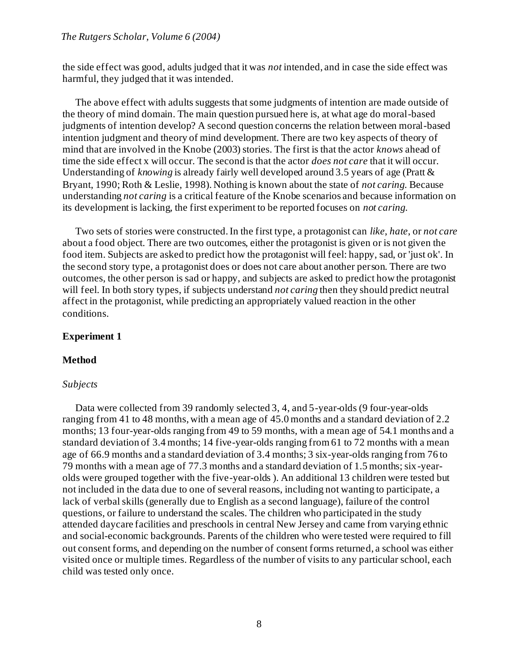the side effect was good, adults judged that it was *not* intended, and in case the side effect was harmful, they judged that it was intended.

The above effect with adults suggests that some judgments of intention are made outside of the theory of mind domain. The main question pursued here is, at what age do moral-based judgments of intention develop? A second question concerns the relation between moral-based intention judgment and theory of mind development. There are two key aspects of theory of mind that are involved in the Knobe (2003) stories. The first is that the actor *knows* ahead of time the side effect x will occur. The second is that the actor *does not care* that it will occur. Understanding of *knowing* is already fairly well developed around 3.5 years of age (Pratt & Bryant, 1990; Roth & Leslie, 1998). Nothing is known about the state of *not caring*. Because understanding *not caring* is a critical feature of the Knobe scenarios and because information on its development is lacking, the first experiment to be reported focuses on *not caring*.

Two sets of stories were constructed. In the first type, a protagonist can *like*, *hate*, or *not care* about a food object. There are two outcomes, either the protagonist is given or is not given the food item. Subjects are asked to predict how the protagonist will feel: happy, sad, or 'just ok'. In the second story type, a protagonist does or does not care about another person. There are two outcomes, the other person is sad or happy, and subjects are asked to predict how the protagonist will feel. In both story types, if subjects understand *not caring* then they should predict neutral affect in the protagonist, while predicting an appropriately valued reaction in the other conditions.

# **Experiment 1**

#### **Method**

#### *Subjects*

Data were collected from 39 randomly selected 3, 4, and 5-year-olds (9 four-year-olds ranging from 41 to 48 months, with a mean age of 45.0 months and a standard deviation of 2.2 months; 13 four-year-olds ranging from 49 to 59 months, with a mean age of 54.1 months and a standard deviation of 3.4 months; 14 five-year-olds ranging from 61 to 72 months with a mean age of 66.9 months and a standard deviation of 3.4 months; 3 six-year-olds ranging from 76 to 79 months with a mean age of 77.3 months and a standard deviation of 1.5 months; six-yearolds were grouped together with the five-year-olds ). An additional 13 children were tested but not included in the data due to one of several reasons, including not wanting to participate, a lack of verbal skills (generally due to English as a second language), failure of the control questions, or failure to understand the scales. The children who participated in the study attended daycare facilities and preschools in central New Jersey and came from varying ethnic and social-economic backgrounds. Parents of the children who were tested were required to fill out consent forms, and depending on the number of consent forms returned, a school was either visited once or multiple times. Regardless of the number of visits to any particular school, each child was tested only once.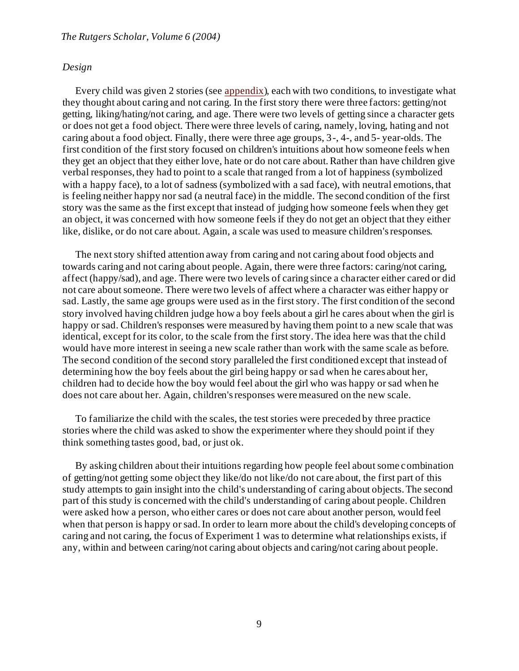#### *Design*

Every child was given 2 stories (se[e appendix](#page-23-0)), each with two conditions, to investigate what they thought about caring and not caring. In the first story there were three factors: getting/not getting, liking/hating/not caring, and age. There were two levels of getting since a character gets or does not get a food object. There were three levels of caring, namely, loving, hating and not caring about a food object. Finally, there were three age groups, 3-, 4-, and 5- year-olds. The first condition of the first story focused on children's intuitions about how someone feels when they get an object that they either love, hate or do not care about. Rather than have children give verbal responses, they had to point to a scale that ranged from a lot of happiness (symbolized with a happy face), to a lot of sadness (symbolized with a sad face), with neutral emotions, that is feeling neither happy nor sad (a neutral face) in the middle. The second condition of the first story was the same as the first except that instead of judging how someone feels when they get an object, it was concerned with how someone feels if they do not get an object that they either like, dislike, or do not care about. Again, a scale was used to measure children's responses.

The next story shifted attention away from caring and not caring about food objects and towards caring and not caring about people. Again, there were three factors: caring/not caring, affect (happy/sad), and age. There were two levels of caring since a character either cared or did not care about someone. There were two levels of affect where a character was either happy or sad. Lastly, the same age groups were used as in the first story. The first condition of the second story involved having children judge how a boy feels about a girl he cares about when the girl is happy or sad. Children's responses were measured by having them point to a new scale that was identical, except for its color, to the scale from the first story. The idea here was that the child would have more interest in seeing a new scale rather than work with the same scale as before. The second condition of the second story paralleled the first conditioned except that instead of determining how the boy feels about the girl being happy or sad when he cares about her, children had to decide how the boy would feel about the girl who was happy or sad when he does not care about her. Again, children's responses were measured on the new scale.

To familiarize the child with the scales, the test stories were preceded by three practice stories where the child was asked to show the experimenter where they should point if they think something tastes good, bad, or just ok.

By asking children about their intuitions regarding how people feel about some combination of getting/not getting some object they like/do not like/do not care about, the first part of this study attempts to gain insight into the child's understanding of caring about objects. The second part of this study is concerned with the child's understanding of caring about people. Children were asked how a person, who either cares or does not care about another person, would feel when that person is happy or sad. In order to learn more about the child's developing concepts of caring and not caring, the focus of Experiment 1 was to determine what relationships exists, if any, within and between caring/not caring about objects and caring/not caring about people.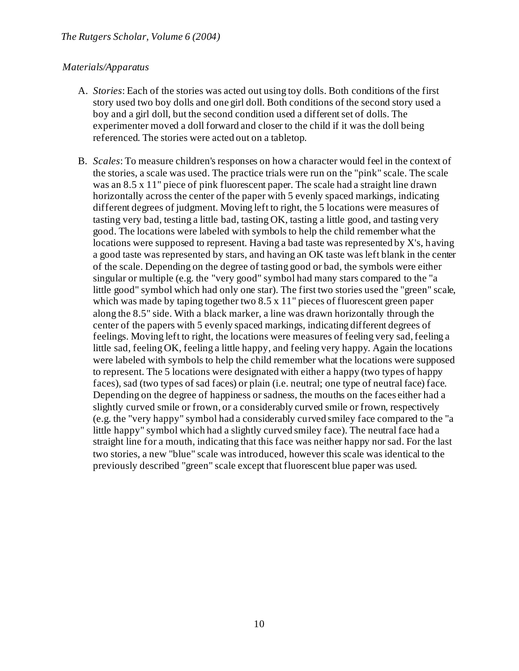# *Materials/Apparatus*

- A. *Stories*: Each of the stories was acted out using toy dolls. Both conditions of the first story used two boy dolls and one girl doll. Both conditions of the second story used a boy and a girl doll, but the second condition used a different set of dolls. The experimenter moved a doll forward and closer to the child if it was the doll being referenced. The stories were acted out on a tabletop.
- B. *Scales*: To measure children's responses on how a character would feel in the context of the stories, a scale was used. The practice trials were run on the "pink" scale. The scale was an 8.5 x 11" piece of pink fluorescent paper. The scale had a straight line drawn horizontally across the center of the paper with 5 evenly spaced markings, indicating different degrees of judgment. Moving left to right, the 5 locations were measures of tasting very bad, testing a little bad, tasting OK, tasting a little good, and tasting very good. The locations were labeled with symbols to help the child remember what the locations were supposed to represent. Having a bad taste was represented by X's, having a good taste was represented by stars, and having an OK taste was left blank in the center of the scale. Depending on the degree of tasting good or bad, the symbols were either singular or multiple (e.g. the "very good" symbol had many stars compared to the "a little good" symbol which had only one star). The first two stories used the "green" scale, which was made by taping together two 8.5 x 11" pieces of fluorescent green paper along the 8.5" side. With a black marker, a line was drawn horizontally through the center of the papers with 5 evenly spaced markings, indicating different degrees of feelings. Moving left to right, the locations were measures of feeling very sad, feeling a little sad, feeling OK, feeling a little happy, and feeling very happy. Again the locations were labeled with symbols to help the child remember what the locations were supposed to represent. The 5 locations were designated with either a happy (two types of happy faces), sad (two types of sad faces) or plain (i.e. neutral; one type of neutral face) face. Depending on the degree of happiness or sadness, the mouths on the faces either had a slightly curved smile or frown, or a considerably curved smile or frown, respectively (e.g. the "very happy" symbol had a considerably curved smiley face compared to the "a little happy" symbol which had a slightly curved smiley face). The neutral face had a straight line for a mouth, indicating that this face was neither happy nor sad. For the last two stories, a new "blue" scale was introduced, however this scale was identical to the previously described "green" scale except that fluorescent blue paper was used.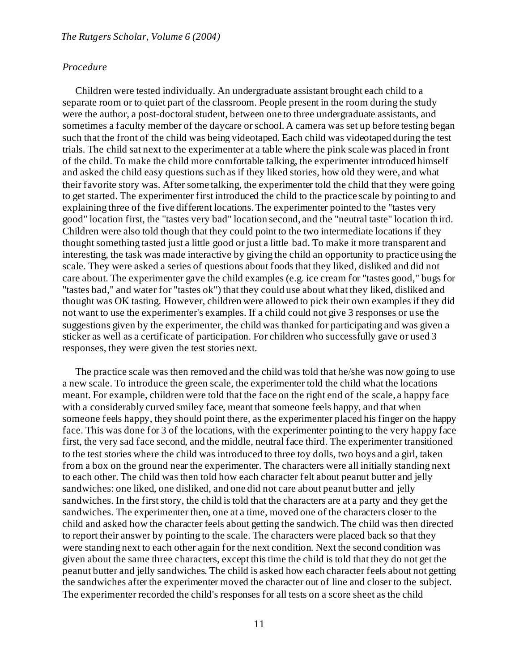# *Procedure*

Children were tested individually. An undergraduate assistant brought each child to a separate room or to quiet part of the classroom. People present in the room during the study were the author, a post-doctoral student, between one to three undergraduate assistants, and sometimes a faculty member of the daycare or school. A camera was set up before testing began such that the front of the child was being videotaped. Each child was videotaped during the test trials. The child sat next to the experimenter at a table where the pink scale was placed in front of the child. To make the child more comfortable talking, the experimenter introduced himself and asked the child easy questions such as if they liked stories, how old they were, and what their favorite story was. After some talking, the experimenter told the child that they were going to get started. The experimenter first introduced the child to the practice scale by pointing to and explaining three of the five different locations. The experimenter pointed to the "tastes very good" location first, the "tastes very bad" location second, and the "neutral taste" location third. Children were also told though that they could point to the two intermediate locations if they thought something tasted just a little good or just a little bad. To make it more transparent and interesting, the task was made interactive by giving the child an opportunity to practice using the scale. They were asked a series of questions about foods that they liked, disliked and did not care about. The experimenter gave the child examples (e.g. ice cream for "tastes good," bugs for "tastes bad," and water for "tastes ok") that they could use about what they liked, disliked and thought was OK tasting. However, children were allowed to pick their own examples if they did not want to use the experimenter's examples. If a child could not give 3 responses or use the suggestions given by the experimenter, the child was thanked for participating and was given a sticker as well as a certificate of participation. For children who successfully gave or used 3 responses, they were given the test stories next.

The practice scale was then removed and the child was told that he/she was now going to use a new scale. To introduce the green scale, the experimenter told the child what the locations meant. For example, children were told that the face on the right end of the scale, a happy face with a considerably curved smiley face, meant that someone feels happy, and that when someone feels happy, they should point there, as the experimenter placed his finger on the happy face. This was done for 3 of the locations, with the experimenter pointing to the very happy face first, the very sad face second, and the middle, neutral face third. The experimenter transitioned to the test stories where the child was introduced to three toy dolls, two boys and a girl, taken from a box on the ground near the experimenter. The characters were all initially standing next to each other. The child was then told how each character felt about peanut butter and jelly sandwiches: one liked, one disliked, and one did not care about peanut butter and jelly sandwiches. In the first story, the child is told that the characters are at a party and they get the sandwiches. The experimenter then, one at a time, moved one of the characters closer to the child and asked how the character feels about getting the sandwich. The child was then directed to report their answer by pointing to the scale. The characters were placed back so that they were standing next to each other again for the next condition. Next the second condition was given about the same three characters, except this time the child is told that they do not get the peanut butter and jelly sandwiches. The child is asked how each character feels about not getting the sandwiches after the experimenter moved the character out of line and closer to the subject. The experimenter recorded the child's responses for all tests on a score sheet as the child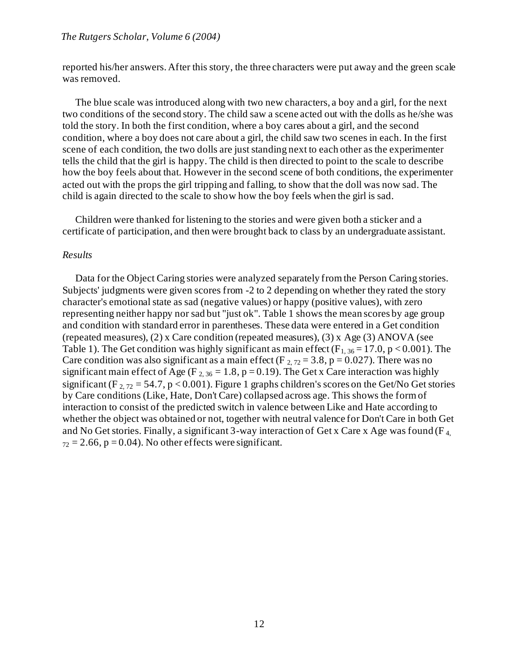reported his/her answers. After this story, the three characters were put away and the green scale was removed.

The blue scale was introduced along with two new characters, a boy and a girl, for the next two conditions of the second story. The child saw a scene acted out with the dolls as he/she was told the story. In both the first condition, where a boy cares about a girl, and the second condition, where a boy does not care about a girl, the child saw two scenes in each. In the first scene of each condition, the two dolls are just standing next to each other as the experimenter tells the child that the girl is happy. The child is then directed to point to the scale to describe how the boy feels about that. However in the second scene of both conditions, the experimenter acted out with the props the girl tripping and falling, to show that the doll was now sad. The child is again directed to the scale to show how the boy feels when the girl is sad.

Children were thanked for listening to the stories and were given both a sticker and a certificate of participation, and then were brought back to class by an undergraduate assistant.

#### *Results*

Data for the Object Caring stories were analyzed separately from the Person Caring stories. Subjects' judgments were given scores from -2 to 2 depending on whether they rated the story character's emotional state as sad (negative values) or happy (positive values), with zero representing neither happy nor sad but "just ok". Table 1 shows the mean scores by age group and condition with standard error in parentheses. These data were entered in a Get condition (repeated measures), (2) x Care condition (repeated measures), (3) x Age (3) ANOVA (see Table 1). The Get condition was highly significant as main effect ( $F_{1, 36} = 17.0$ , p < 0.001). The Care condition was also significant as a main effect (F  $_{2, 72} = 3.8$ , p = 0.027). There was no significant main effect of Age (F<sub>2, 36</sub> = 1.8, p = 0.19). The Get x Care interaction was highly significant (F<sub>2, 72</sub> = 54.7, p < 0.001). Figure 1 graphs children's scores on the Get/No Get stories by Care conditions (Like, Hate, Don't Care) collapsed across age. This shows the form of interaction to consist of the predicted switch in valence between Like and Hate according to whether the object was obtained or not, together with neutral valence for Don't Care in both Get and No Get stories. Finally, a significant 3-way interaction of Get x Care x Age was found ( $F_4$ )  $_{72} = 2.66$ , p = 0.04). No other effects were significant.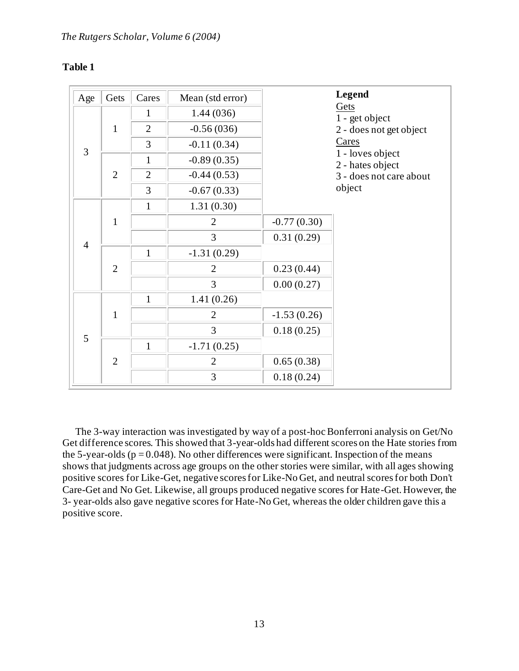# **Table 1**

| Age            | Gets           | Cares          | Mean (std error) |               | <b>Legend</b>                        |
|----------------|----------------|----------------|------------------|---------------|--------------------------------------|
| $\overline{3}$ | $\mathbf{1}$   | $\mathbf{1}$   | 1.44(036)        |               | Gets<br>1 - get object               |
|                |                | $\overline{2}$ | $-0.56(036)$     |               | 2 - does not get object              |
|                |                | 3              | $-0.11(0.34)$    |               | Cares                                |
|                | $\overline{2}$ | $\mathbf{1}$   | $-0.89(0.35)$    |               | 1 - loves object<br>2 - hates object |
|                |                | $\overline{2}$ | $-0.44(0.53)$    |               | 3 - does not care about              |
|                |                | 3              | $-0.67(0.33)$    |               | object                               |
| $\overline{4}$ | $\mathbf{1}$   | $\mathbf{1}$   | 1.31(0.30)       |               |                                      |
|                |                |                | $\overline{2}$   | $-0.77(0.30)$ |                                      |
|                |                |                | 3                | 0.31(0.29)    |                                      |
|                | $\overline{2}$ | $\mathbf{1}$   | $-1.31(0.29)$    |               |                                      |
|                |                |                | $\overline{2}$   | 0.23(0.44)    |                                      |
|                |                |                | 3                | 0.00(0.27)    |                                      |
| 5              | $\mathbf{1}$   | $\mathbf{1}$   | 1.41(0.26)       |               |                                      |
|                |                |                | $\overline{2}$   | $-1.53(0.26)$ |                                      |
|                |                |                | 3                | 0.18(0.25)    |                                      |
|                | $\overline{2}$ | $\mathbf{1}$   | $-1.71(0.25)$    |               |                                      |
|                |                |                | $\overline{2}$   | 0.65(0.38)    |                                      |
|                |                |                | 3                | 0.18(0.24)    |                                      |

The 3-way interaction was investigated by way of a post-hoc Bonferroni analysis on Get/No Get difference scores. This showed that 3-year-olds had different scores on the Hate stories from the 5-year-olds ( $p = 0.048$ ). No other differences were significant. Inspection of the means shows that judgments across age groups on the other stories were similar, with all ages showing positive scores for Like-Get, negative scores for Like-No Get, and neutral scores for both Don't Care-Get and No Get. Likewise, all groups produced negative scores for Hate-Get. However, the 3- year-olds also gave negative scores for Hate-No Get, whereas the older children gave this a positive score.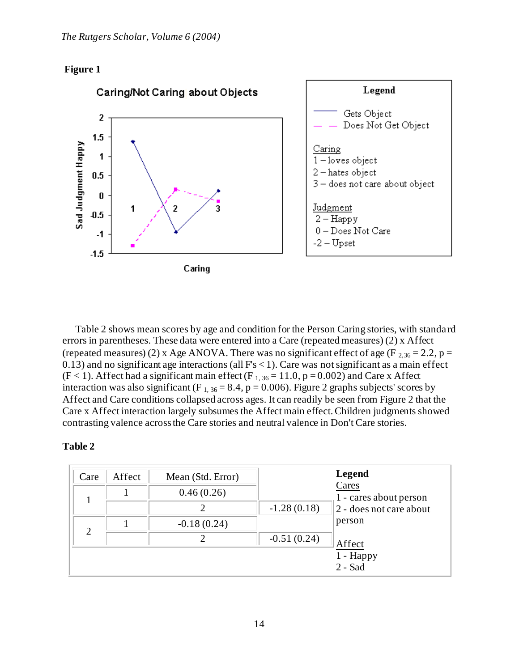



Table 2 shows mean scores by age and condition for the Person Caring stories, with standard errors in parentheses. These data were entered into a Care (repeated measures) (2) x Affect (repeated measures) (2) x Age ANOVA. There was no significant effect of age (F  $_{2,36}$  = 2.2, p =  $0.13$ ) and no significant age interactions (all  $Fs < 1$ ). Care was not significant as a main effect  $(F < 1)$ . Affect had a significant main effect  $(F_{1, 36} = 11.0, p = 0.002)$  and Care x Affect interaction was also significant (F<sub>1,36</sub> = 8.4, p = 0.006). Figure 2 graphs subjects' scores by Affect and Care conditions collapsed across ages. It can readily be seen from Figure 2 that the Care x Affect interaction largely subsumes the Affect main effect. Children judgments showed contrasting valence across the Care stories and neutral valence in Don't Care stories.

# **Table 2**

| Care | Affect | Mean (Std. Error) | <b>Legend</b> |                                                            |
|------|--------|-------------------|---------------|------------------------------------------------------------|
|      |        | 0.46(0.26)        |               | Cares<br>1 - cares about person<br>2 - does not care about |
|      |        |                   | $-1.28(0.18)$ |                                                            |
| 2    |        | $-0.18(0.24)$     |               | person                                                     |
|      |        |                   | $-0.51(0.24)$ | Affect                                                     |
|      |        |                   |               | 1 - Happy<br>$2 -$ Sad                                     |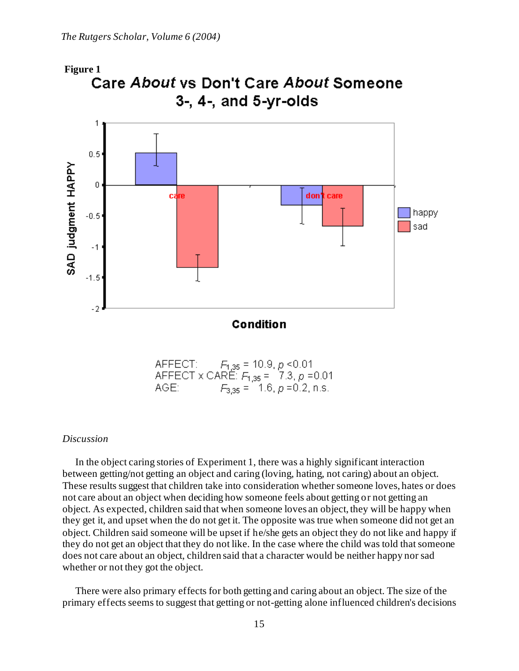

AFFECT: F<sub>1,35</sub> = 10.9, *p* <0.01<br>AFFECT x CARE: F<sub>1,35</sub> = 17.3, *p* =0.01  $F_{3,35} = 1.6, p = 0.2, n.s.$ AGE:

## *Discussion*

In the object caring stories of Experiment 1, there was a highly significant interaction between getting/not getting an object and caring (loving, hating, not caring) about an object. These results suggest that children take into consideration whether someone loves, hates or does not care about an object when deciding how someone feels about getting or not getting an object. As expected, children said that when someone loves an object, they will be happy when they get it, and upset when the do not get it. The opposite was true when someone did not get an object. Children said someone will be upset if he/she gets an object they do not like and happy if they do not get an object that they do not like. In the case where the child was told that someone does not care about an object, children said that a character would be neither happy nor sad whether or not they got the object.

There were also primary effects for both getting and caring about an object. The size of the primary effects seems to suggest that getting or not-getting alone influenced children's decisions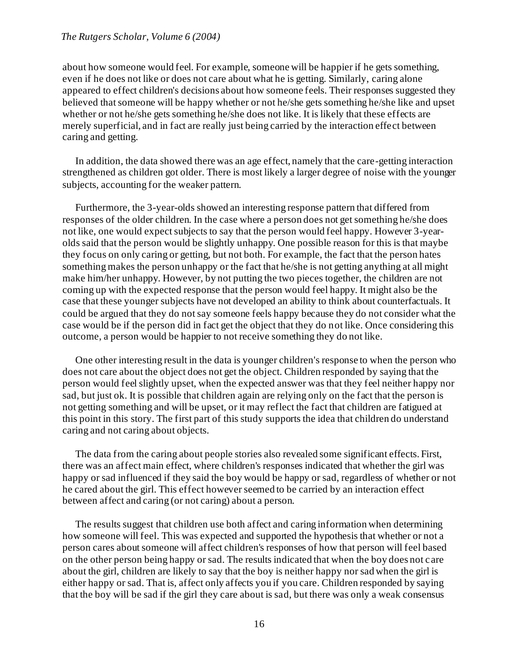about how someone would feel. For example, someone will be happier if he gets something, even if he does not like or does not care about what he is getting. Similarly, caring alone appeared to effect children's decisions about how someone feels. Their responses suggested they believed that someone will be happy whether or not he/she gets something he/she like and upset whether or not he/she gets something he/she does not like. It is likely that these effects are merely superficial, and in fact are really just being carried by the interaction effect between caring and getting.

In addition, the data showed there was an age effect, namely that the care-getting interaction strengthened as children got older. There is most likely a larger degree of noise with the younger subjects, accounting for the weaker pattern.

Furthermore, the 3-year-olds showed an interesting response pattern that differed from responses of the older children. In the case where a person does not get something he/she does not like, one would expect subjects to say that the person would feel happy. However 3-yearolds said that the person would be slightly unhappy. One possible reason for this is that maybe they focus on only caring or getting, but not both. For example, the fact that the person hates something makes the person unhappy or the fact that he/she is not getting anything at all might make him/her unhappy. However, by not putting the two pieces together, the children are not coming up with the expected response that the person would feel happy. It might also be the case that these younger subjects have not developed an ability to think about counterfactuals. It could be argued that they do not say someone feels happy because they do not consider what the case would be if the person did in fact get the object that they do not like. Once considering this outcome, a person would be happier to not receive something they do not like.

One other interesting result in the data is younger children's response to when the person who does not care about the object does not get the object. Children responded by saying that the person would feel slightly upset, when the expected answer was that they feel neither happy nor sad, but just ok. It is possible that children again are relying only on the fact that the person is not getting something and will be upset, or it may reflect the fact that children are fatigued at this point in this story. The first part of this study supports the idea that children do understand caring and not caring about objects.

The data from the caring about people stories also revealed some significant effects. First, there was an affect main effect, where children's responses indicated that whether the girl was happy or sad influenced if they said the boy would be happy or sad, regardless of whether or not he cared about the girl. This effect however seemed to be carried by an interaction effect between affect and caring (or not caring) about a person.

The results suggest that children use both affect and caring information when determining how someone will feel. This was expected and supported the hypothesis that whether or not a person cares about someone will affect children's responses of how that person will feel based on the other person being happy or sad. The results indicated that when the boy does not c are about the girl, children are likely to say that the boy is neither happy nor sad when the girl is either happy or sad. That is, affect only affects you if you care. Children responded by saying that the boy will be sad if the girl they care about is sad, but there was only a weak consensus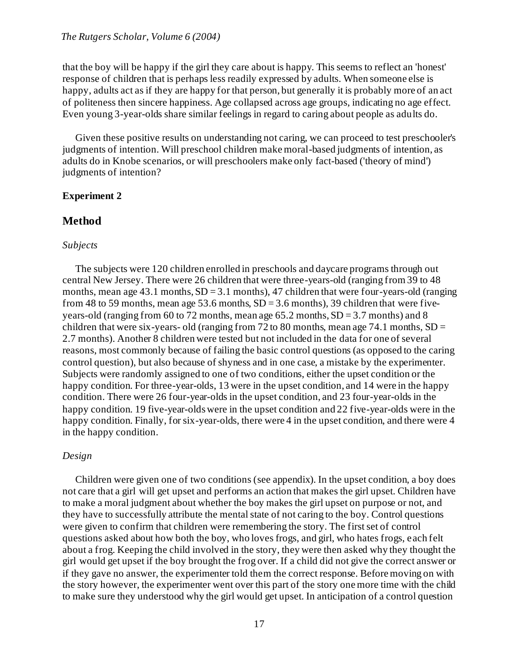that the boy will be happy if the girl they care about is happy. This seems to reflect an 'honest' response of children that is perhaps less readily expressed by adults. When someone else is happy, adults act as if they are happy for that person, but generally it is probably more of an act of politeness then sincere happiness. Age collapsed across age groups, indicating no age effect. Even young 3-year-olds share similar feelings in regard to caring about people as adults do.

Given these positive results on understanding not caring, we can proceed to test preschooler's judgments of intention. Will preschool children make moral-based judgments of intention, as adults do in Knobe scenarios, or will preschoolers make only fact-based ('theory of mind') judgments of intention?

# **Experiment 2**

# **Method**

#### *Subjects*

The subjects were 120 children enrolled in preschools and daycare programs through out central New Jersey. There were 26 children that were three-years-old (ranging from 39 to 48 months, mean age  $43.1$  months,  $SD = 3.1$  months),  $47$  children that were four-years-old (ranging from 48 to 59 months, mean age 53.6 months,  $SD = 3.6$  months), 39 children that were fiveyears-old (ranging from 60 to 72 months, mean age  $65.2$  months,  $SD = 3.7$  months) and 8 children that were six-years- old (ranging from 72 to 80 months, mean age 74.1 months,  $SD =$ 2.7 months). Another 8 children were tested but not included in the data for one of several reasons, most commonly because of failing the basic control questions (as opposed to the caring control question), but also because of shyness and in one case, a mistake by the experimenter. Subjects were randomly assigned to one of two conditions, either the upset condition or the happy condition. For three-year-olds, 13 were in the upset condition, and 14 were in the happy condition. There were 26 four-year-olds in the upset condition, and 23 four-year-olds in the happy condition. 19 five-year-olds were in the upset condition and 22 five-year-olds were in the happy condition. Finally, for six-year-olds, there were 4 in the upset condition, and there were 4 in the happy condition.

# *Design*

Children were given one of two conditions (see appendix). In the upset condition, a boy does not care that a girl will get upset and performs an action that makes the girl upset. Children have to make a moral judgment about whether the boy makes the girl upset on purpose or not, and they have to successfully attribute the mental state of not caring to the boy. Control questions were given to confirm that children were remembering the story. The first set of control questions asked about how both the boy, who loves frogs, and girl, who hates frogs, each felt about a frog. Keeping the child involved in the story, they were then asked why they thought the girl would get upset if the boy brought the frog over. If a child did not give the correct answer or if they gave no answer, the experimenter told them the correct response. Before moving on with the story however, the experimenter went over this part of the story one more time with the child to make sure they understood why the girl would get upset. In anticipation of a control question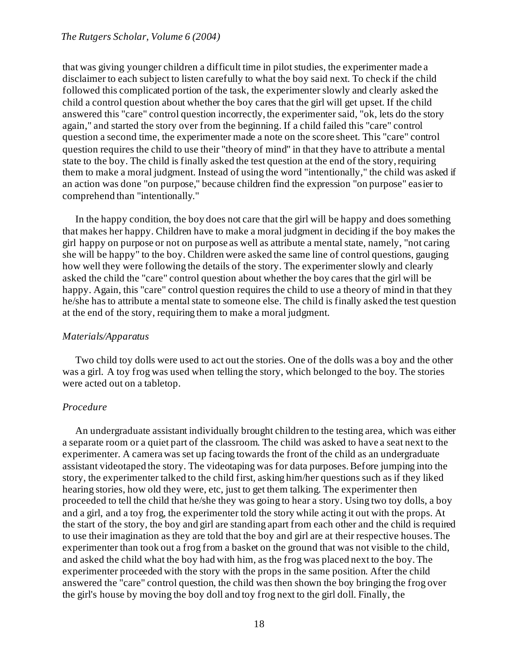that was giving younger children a difficult time in pilot studies, the experimenter made a disclaimer to each subject to listen carefully to what the boy said next. To check if the child followed this complicated portion of the task, the experimenter slowly and clearly asked the child a control question about whether the boy cares that the girl will get upset. If the child answered this "care" control question incorrectly, the experimenter said, "ok, lets do the story again," and started the story over from the beginning. If a child failed this "care" control question a second time, the experimenter made a note on the score sheet. This "care" control question requires the child to use their "theory of mind" in that they have to attribute a mental state to the boy. The child is finally asked the test question at the end of the story, requiring them to make a moral judgment. Instead of using the word "intentionally," the child was asked if an action was done "on purpose," because children find the expression "on purpose" easier to comprehend than "intentionally."

In the happy condition, the boy does not care that the girl will be happy and does something that makes her happy. Children have to make a moral judgment in deciding if the boy makes the girl happy on purpose or not on purpose as well as attribute a mental state, namely, "not caring she will be happy" to the boy. Children were asked the same line of control questions, gauging how well they were following the details of the story. The experimenter slowly and clearly asked the child the "care" control question about whether the boy cares that the girl will be happy. Again, this "care" control question requires the child to use a theory of mind in that they he/she has to attribute a mental state to someone else. The child is finally asked the test question at the end of the story, requiring them to make a moral judgment.

## *Materials/Apparatus*

Two child toy dolls were used to act out the stories. One of the dolls was a boy and the other was a girl. A toy frog was used when telling the story, which belonged to the boy. The stories were acted out on a tabletop.

## *Procedure*

An undergraduate assistant individually brought children to the testing area, which was either a separate room or a quiet part of the classroom. The child was asked to have a seat next to the experimenter. A camera was set up facing towards the front of the child as an undergraduate assistant videotaped the story. The videotaping was for data purposes. Before jumping into the story, the experimenter talked to the child first, asking him/her questions such as if they liked hearing stories, how old they were, etc, just to get them talking. The experimenter then proceeded to tell the child that he/she they was going to hear a story. Using two toy dolls, a boy and a girl, and a toy frog, the experimenter told the story while acting it out with the props. At the start of the story, the boy and girl are standing apart from each other and the child is required to use their imagination as they are told that the boy and girl are at their respective houses. The experimenter than took out a frog from a basket on the ground that was not visible to the child, and asked the child what the boy had with him, as the frog was placed next to the boy. The experimenter proceeded with the story with the props in the same position. After the child answered the "care" control question, the child was then shown the boy bringing the frog over the girl's house by moving the boy doll and toy frog next to the girl doll. Finally, the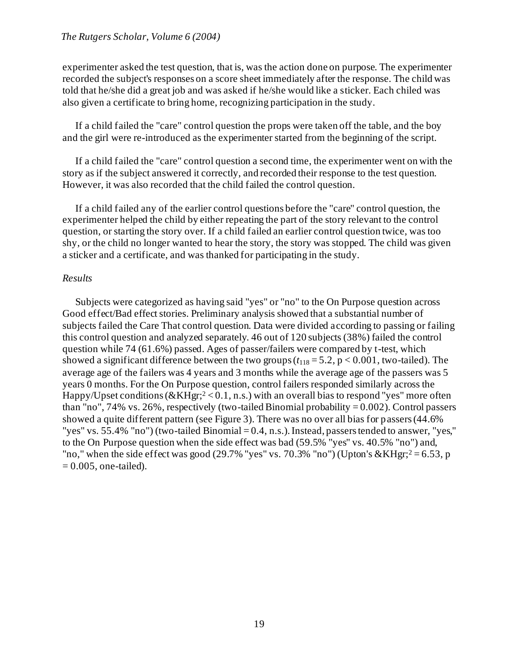experimenter asked the test question, that is, was the action done on purpose. The experimenter recorded the subject's responses on a score sheet immediately after the response. The child was told that he/she did a great job and was asked if he/she would like a sticker. Each chiled was also given a certificate to bring home, recognizing participation in the study.

If a child failed the "care" control question the props were taken off the table, and the boy and the girl were re-introduced as the experimenter started from the beginning of the script.

If a child failed the "care" control question a second time, the experimenter went on with the story as if the subject answered it correctly, and recorded their response to the test question. However, it was also recorded that the child failed the control question.

If a child failed any of the earlier control questions before the "care" control question, the experimenter helped the child by either repeating the part of the story relevant to the control question, or starting the story over. If a child failed an earlier control question twice, was too shy, or the child no longer wanted to hear the story, the story was stopped. The child was given a sticker and a certificate, and was thanked for participating in the study.

## *Results*

Subjects were categorized as having said "yes" or "no" to the On Purpose question across Good effect/Bad effect stories. Preliminary analysis showed that a substantial number of subjects failed the Care That control question. Data were divided according to passing or failing this control question and analyzed separately. 46 out of 120 subjects (38%) failed the control question while 74 (61.6%) passed. Ages of passer/failers were compared by t-test, which showed a significant difference between the two groups  $(t_{118} = 5.2, p < 0.001$ , two-tailed). The average age of the failers was 4 years and 3 months while the average age of the passers was 5 years 0 months. For the On Purpose question, control failers responded similarly across the Happy/Upset conditions ( $\&$ KHgr;<sup>2</sup> < 0.1, n.s.) with an overall bias to respond "yes" more often than "no", 74% vs. 26%, respectively (two-tailed Binomial probability =  $0.002$ ). Control passers showed a quite different pattern (see Figure 3). There was no over all bias for passers (44.6% "yes" vs. 55.4% "no") (two-tailed Binomial  $= 0.4$ , n.s.). Instead, passers tended to answer, "yes," to the On Purpose question when the side effect was bad (59.5% "yes" vs. 40.5% "no") and, "no," when the side effect was good (29.7% "yes" vs. 70.3% "no") (Upton's  $\&$ KHgr;<sup>2</sup> = 6.53, p  $= 0.005$ , one-tailed).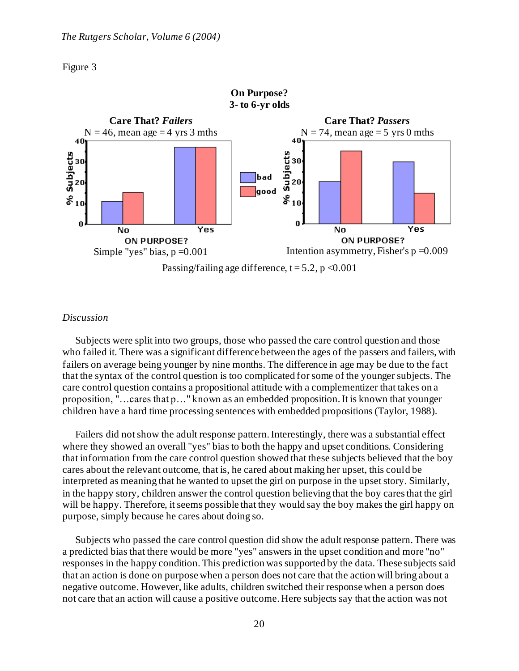



### *Discussion*

Subjects were split into two groups, those who passed the care control question and those who failed it. There was a significant difference between the ages of the passers and failers, with failers on average being younger by nine months. The difference in age may be due to the fact that the syntax of the control question is too complicated for some of the younger subjects. The care control question contains a propositional attitude with a complementizer that takes on a proposition, "…cares that p…" known as an embedded proposition. It is known that younger children have a hard time processing sentences with embedded propositions (Taylor, 1988).

Failers did not show the adult response pattern. Interestingly, there was a substantial effect where they showed an overall "yes" bias to both the happy and upset conditions. Considering that information from the care control question showed that these subjects believed that the boy cares about the relevant outcome, that is, he cared about making her upset, this could be interpreted as meaning that he wanted to upset the girl on purpose in the upset story. Similarly, in the happy story, children answer the control question believing that the boy cares that the girl will be happy. Therefore, it seems possible that they would say the boy makes the girl happy on purpose, simply because he cares about doing so.

Subjects who passed the care control question did show the adult response pattern. There was a predicted bias that there would be more "yes" answers in the upset condition and more "no" responses in the happy condition. This prediction was supported by the data. These subjects said that an action is done on purpose when a person does not care that the action will bring about a negative outcome. However, like adults, children switched their response when a person does not care that an action will cause a positive outcome. Here subjects say that the action was not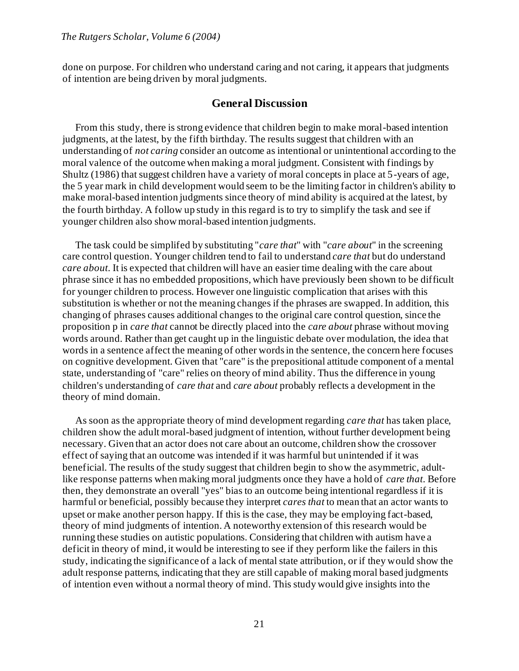done on purpose. For children who understand caring and not caring, it appears that judgments of intention are being driven by moral judgments.

# **General Discussion**

From this study, there is strong evidence that children begin to make moral-based intention judgments, at the latest, by the fifth birthday. The results suggest that children with an understanding of *not caring* consider an outcome as intentional or unintentional according to the moral valence of the outcome when making a moral judgment. Consistent with findings by Shultz (1986) that suggest children have a variety of moral concepts in place at 5-years of age, the 5 year mark in child development would seem to be the limiting factor in children's ability to make moral-based intention judgments since theory of mind ability is acquired at the latest, by the fourth birthday. A follow up study in this regard is to try to simplify the task and see if younger children also show moral-based intention judgments.

The task could be simplifed by substituting "*care that*" with "*care about*" in the screening care control question. Younger children tend to fail to understand *care that* but do understand *care about*. It is expected that children will have an easier time dealing with the care about phrase since it has no embedded propositions, which have previously been shown to be difficult for younger children to process. However one linguistic complication that arises with this substitution is whether or not the meaning changes if the phrases are swapped. In addition, this changing of phrases causes additional changes to the original care control question, since the proposition p in *care that* cannot be directly placed into the *care about* phrase without moving words around. Rather than get caught up in the linguistic debate over modulation, the idea that words in a sentence affect the meaning of other words in the sentence, the concern here focuses on cognitive development. Given that "care" is the prepositional attitude component of a mental state, understanding of "care" relies on theory of mind ability. Thus the difference in young children's understanding of *care that* and *care about* probably reflects a development in the theory of mind domain.

As soon as the appropriate theory of mind development regarding *care that* has taken place, children show the adult moral-based judgment of intention, without further development being necessary. Given that an actor does not care about an outcome, children show the crossover effect of saying that an outcome was intended if it was harmful but unintended if it was beneficial. The results of the study suggest that children begin to show the asymmetric, adultlike response patterns when making moral judgments once they have a hold of *care that*. Before then, they demonstrate an overall "yes" bias to an outcome being intentional regardless if it is harmful or beneficial, possibly because they interpret *cares that* to mean that an actor wants to upset or make another person happy. If this is the case, they may be employing fact-based, theory of mind judgments of intention. A noteworthy extension of this research would be running these studies on autistic populations. Considering that children with autism have a deficit in theory of mind, it would be interesting to see if they perform like the failers in this study, indicating the significance of a lack of mental state attribution, or if they would show the adult response patterns, indicating that they are still capable of making moral based judgments of intention even without a normal theory of mind. This study would give insights into the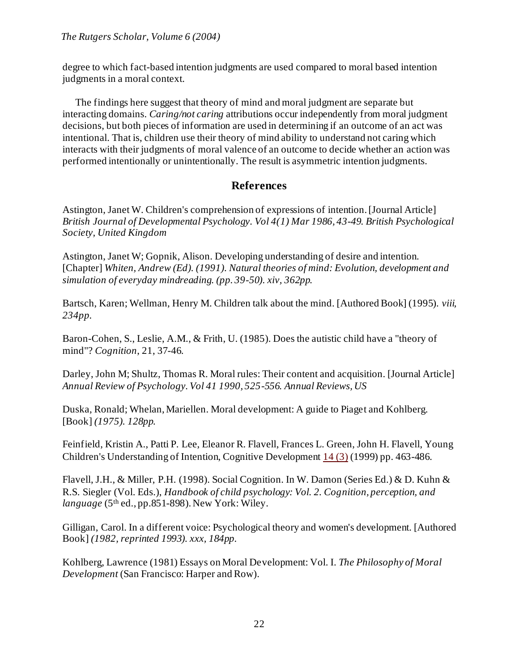degree to which fact-based intention judgments are used compared to moral based intention judgments in a moral context.

The findings here suggest that theory of mind and moral judgment are separate but interacting domains. *Caring/not caring* attributions occur independently from moral judgment decisions, but both pieces of information are used in determining if an outcome of an act was intentional. That is, children use their theory of mind ability to understand not caring which interacts with their judgments of moral valence of an outcome to decide whether an action was performed intentionally or unintentionally. The result is asymmetric intention judgments.

# **References**

Astington, Janet W. Children's comprehension of expressions of intention. [Journal Article] *British Journal of Developmental Psychology. Vol 4(1) Mar 1986, 43-49. British Psychological Society, United Kingdom*

Astington, Janet W; Gopnik, Alison. Developing understanding of desire and intention. [Chapter] *Whiten, Andrew (Ed). (1991). Natural theories of mind: Evolution, development and simulation of everyday mindreading. (pp. 39-50). xiv, 362pp.*

Bartsch, Karen; Wellman, Henry M. Children talk about the mind. [Authored Book] (1995). *viii, 234pp.*

Baron-Cohen, S., Leslie, A.M., & Frith, U. (1985). Does the autistic child have a "theory of mind"? *Cognition*, 21, 37-46.

Darley, John M; Shultz, Thomas R. Moral rules: Their content and acquisition. [Journal Article] *Annual Review of Psychology. Vol 41 1990, 525-556. Annual Reviews, US*

Duska, Ronald; Whelan, Mariellen. Moral development: A guide to Piaget and Kohlberg. [Book] *(1975). 128pp.*

Feinfield, Kristin A., Patti P. Lee, Eleanor R. Flavell, Frances L. Green, John H. Flavell, Young Children's Understanding of Intention, Cognitive Developmen[t 14 \(3\)](http://www1.elsevier.com/cdweb/journals/08852014/viewer.htt?vol=14&viewtype=issue&iss=3#S088520149900015) (1999) pp. 463-486.

Flavell, J.H., & Miller, P.H. (1998). Social Cognition. In W. Damon (Series Ed.) & D. Kuhn & R.S. Siegler (Vol. Eds.), *Handbook of child psychology: Vol. 2. Cognition, perception, and language* (5th ed., pp.851-898). New York: Wiley.

Gilligan, Carol. In a different voice: Psychological theory and women's development. [Authored Book] *(1982, reprinted 1993). xxx, 184pp.*

Kohlberg, Lawrence (1981) Essays on Moral Development: Vol. I. *The Philosophy of Moral Development* (San Francisco: Harper and Row).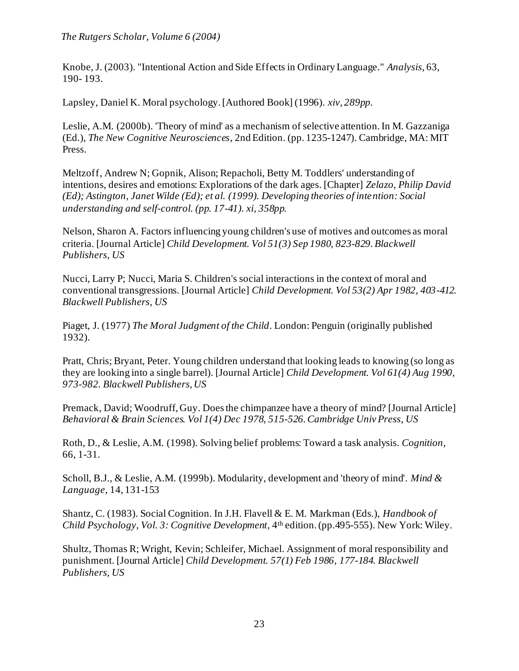Knobe, J. (2003). "Intentional Action and Side Effects in Ordinary Language." *Analysis*, 63, 190- 193.

Lapsley, Daniel K. Moral psychology. [Authored Book] (1996). *xiv, 289pp.*

Leslie, A.M. (2000b). 'Theory of mind' as a mechanism of selective attention. In M. Gazzaniga (Ed.), *The New Cognitive Neurosciences*, 2nd Edition. (pp. 1235-1247). Cambridge, MA: MIT Press.

Meltzoff, Andrew N; Gopnik, Alison; Repacholi, Betty M. Toddlers' understanding of intentions, desires and emotions: Explorations of the dark ages. [Chapter] *Zelazo, Philip David (Ed); Astington, Janet Wilde (Ed); et al. (1999). Developing theories of intention: Social understanding and self-control. (pp. 17-41). xi, 358pp.*

Nelson, Sharon A. Factors influencing young children's use of motives and outcomes as moral criteria. [Journal Article] *Child Development. Vol 51(3) Sep 1980, 823-829. Blackwell Publishers, US*

Nucci, Larry P; Nucci, Maria S. Children's social interactions in the context of moral and conventional transgressions. [Journal Article] *Child Development. Vol 53(2) Apr 1982, 403-412. Blackwell Publishers, US*

Piaget, J. (1977) *The Moral Judgment of the Child*. London: Penguin (originally published 1932).

Pratt, Chris; Bryant, Peter. Young children understand that looking leads to knowing (so long as they are looking into a single barrel). [Journal Article] *Child Development. Vol 61(4) Aug 1990, 973-982. Blackwell Publishers, US*

Premack, David; Woodruff, Guy. Does the chimpanzee have a theory of mind? [Journal Article] *Behavioral & Brain Sciences. Vol 1(4) Dec 1978, 515-526. Cambridge Univ Press, US*

Roth, D., & Leslie, A.M. (1998). Solving belief problems: Toward a task analysis. *Cognition*, 66, 1-31.

Scholl, B.J., & Leslie, A.M. (1999b). Modularity, development and 'theory of mind'. *Mind & Language*, 14, 131-153

Shantz, C. (1983). Social Cognition. In J.H. Flavell & E. M. Markman (Eds.), *Handbook of Child Psychology, Vol. 3: Cognitive Development*, 4th edition. (pp.495-555). New York: Wiley.

Shultz, Thomas R; Wright, Kevin; Schleifer, Michael. Assignment of moral responsibility and punishment. [Journal Article] *Child Development. 57(1) Feb 1986, 177-184. Blackwell Publishers, US*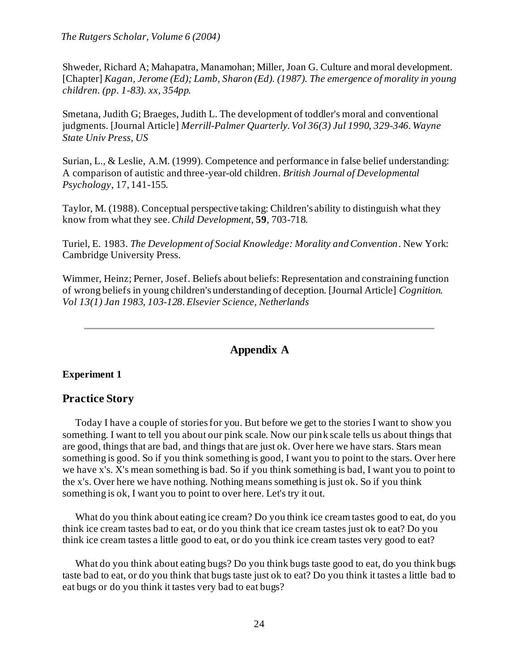Shweder, Richard A; Mahapatra, Manamohan; Miller, Joan G. Culture and moral development. [Chapter] *Kagan, Jerome (Ed); Lamb, Sharon (Ed). (1987). The emergence of morality in young children. (pp. 1-83). xx, 354pp.*

Smetana, Judith G; Braeges, Judith L. The development of toddler's moral and conventional judgments. [Journal Article] *Merrill-Palmer Quarterly. Vol 36(3) Jul 1990, 329-346. Wayne State Univ Press, US*

Surian, L., & Leslie, A.M. (1999). Competence and performance in false belief understanding: A comparison of autistic and three-year-old children. *British Journal of Developmental Psychology*, 17, 141-155.

Taylor, M. (1988). Conceptual perspective taking: Children's ability to distinguish what they know from what they see. *Child Development*, **59**, 703-718.

Turiel, E. 1983. *The Development of Social Knowledge: Morality and Convention*. New York: Cambridge University Press.

Wimmer, Heinz; Perner, Josef. Beliefs about beliefs: Representation and constraining function of wrong beliefs in young children's understanding of deception. [Journal Article] *Cognition. Vol 13(1) Jan 1983, 103-128. Elsevier Science, Netherlands*

# **Appendix A**

## <span id="page-23-0"></span>**Experiment 1**

# **Practice Story**

Today I have a couple of stories for you. But before we get to the stories I want to show you something. I want to tell you about our pink scale. Now our pink scale tells us about things that are good, things that are bad, and things that are just ok. Over here we have stars. Stars mean something is good. So if you think something is good, I want you to point to the stars. Over here we have x's. X's mean something is bad. So if you think something is bad, I want you to point to the x's. Over here we have nothing. Nothing means something is just ok. So if you think something is ok, I want you to point to over here. Let's try it out.

What do you think about eating ice cream? Do you think ice cream tastes good to eat, do you think ice cream tastes bad to eat, or do you think that ice cream tastes just ok to eat? Do you think ice cream tastes a little good to eat, or do you think ice cream tastes very good to eat?

What do you think about eating bugs? Do you think bugs taste good to eat, do you think bugs taste bad to eat, or do you think that bugs taste just ok to eat? Do you think it tastes a little bad to eat bugs or do you think it tastes very bad to eat bugs?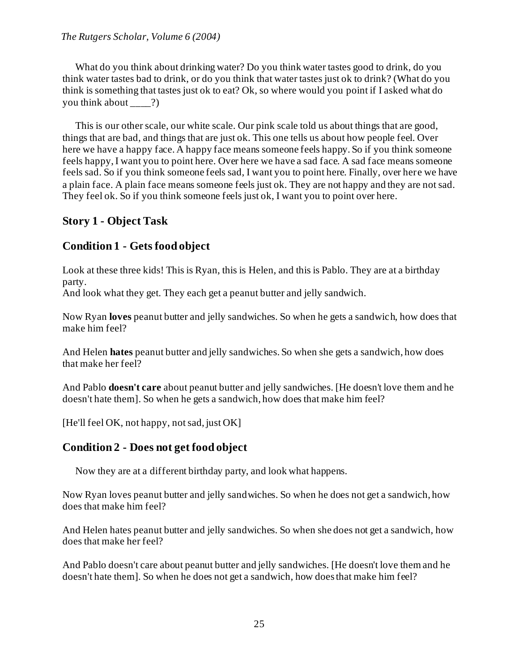What do you think about drinking water? Do you think water tastes good to drink, do you think water tastes bad to drink, or do you think that water tastes just ok to drink? (What do you think is something that tastes just ok to eat? Ok, so where would you point if I asked what do you think about \_\_\_\_?)

This is our other scale, our white scale. Our pink scale told us about things that are good, things that are bad, and things that are just ok. This one tells us about how people feel. Over here we have a happy face. A happy face means someone feels happy. So if you think someone feels happy, I want you to point here. Over here we have a sad face. A sad face means someone feels sad. So if you think someone feels sad, I want you to point here. Finally, over here we have a plain face. A plain face means someone feels just ok. They are not happy and they are not sad. They feel ok. So if you think someone feels just ok, I want you to point over here.

# **Story 1 - Object Task**

# **Condition 1 - Gets food object**

Look at these three kids! This is Ryan, this is Helen, and this is Pablo. They are at a birthday party.

And look what they get. They each get a peanut butter and jelly sandwich.

Now Ryan **loves** peanut butter and jelly sandwiches. So when he gets a sandwich, how does that make him feel?

And Helen **hates** peanut butter and jelly sandwiches. So when she gets a sandwich, how does that make her feel?

And Pablo **doesn't care** about peanut butter and jelly sandwiches. [He doesn't love them and he doesn't hate them]. So when he gets a sandwich, how does that make him feel?

[He'll feel OK, not happy, not sad, just OK]

# **Condition 2 - Does not get food object**

Now they are at a different birthday party, and look what happens.

Now Ryan loves peanut butter and jelly sandwiches. So when he does not get a sandwich, how does that make him feel?

And Helen hates peanut butter and jelly sandwiches. So when she does not get a sandwich, how does that make her feel?

And Pablo doesn't care about peanut butter and jelly sandwiches. [He doesn't love them and he doesn't hate them]. So when he does not get a sandwich, how does that make him feel?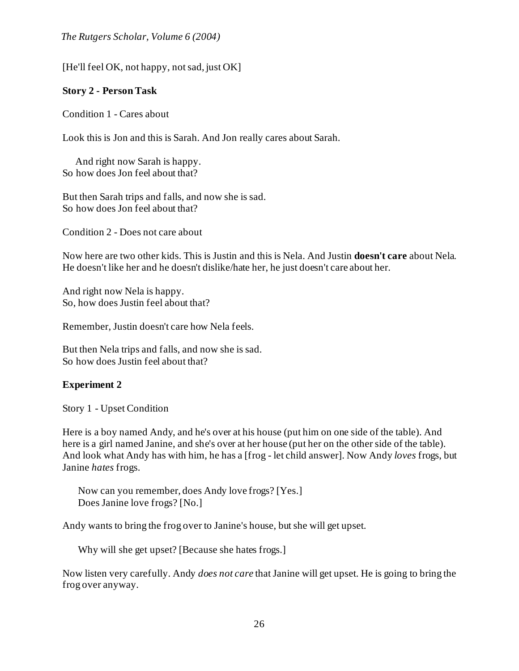[He'll feel OK, not happy, not sad, just OK]

# **Story 2 - Person Task**

Condition 1 - Cares about

Look this is Jon and this is Sarah. And Jon really cares about Sarah.

And right now Sarah is happy. So how does Jon feel about that?

But then Sarah trips and falls, and now she is sad. So how does Jon feel about that?

Condition 2 - Does not care about

Now here are two other kids. This is Justin and this is Nela. And Justin **doesn't care** about Nela. He doesn't like her and he doesn't dislike/hate her, he just doesn't care about her.

And right now Nela is happy. So, how does Justin feel about that?

Remember, Justin doesn't care how Nela feels.

But then Nela trips and falls, and now she is sad. So how does Justin feel about that?

# **Experiment 2**

Story 1 - Upset Condition

Here is a boy named Andy, and he's over at his house (put him on one side of the table). And here is a girl named Janine, and she's over at her house (put her on the other side of the table). And look what Andy has with him, he has a [frog - let child answer]. Now Andy *loves* frogs, but Janine *hates* frogs.

Now can you remember, does Andy love frogs? [Yes.] Does Janine love frogs? [No.]

Andy wants to bring the frog over to Janine's house, but she will get upset.

Why will she get upset? [Because she hates frogs.]

Now listen very carefully. Andy *does not care* that Janine will get upset. He is going to bring the frog over anyway.